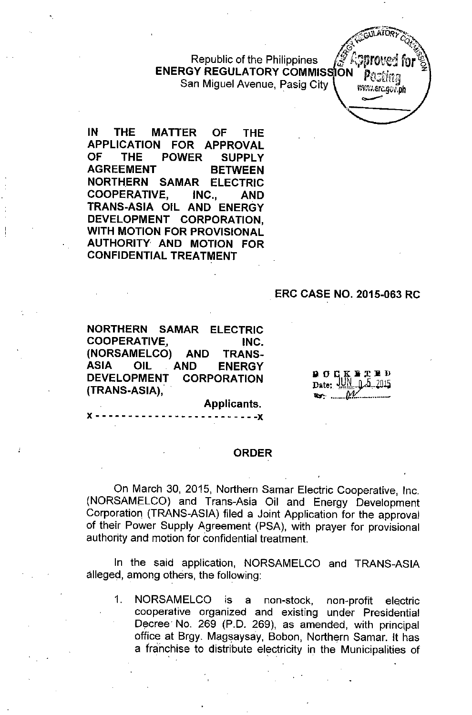Republic of the Philippines ENERGY REGULATORY COMMIS San Miguel Avenue, Pasig City

IN THE MATTER OF THE APPLICATION FOR APPROVAL OF THE POWER SUPPLY AGREEMENT BETWEEN NORTHERN SAMAR ELECTRIC COOPERATIVE, INC., AND TRANS-ASIA OIL AND ENERGY DEVELOPMENT CORPORATION, WITH MOTION FOR PROVISIONAL AUTHORITY AND MOTION FOR CONFIDENTIAL TREATMENT

#### ERC CASE NO. 2015-063 RC

**AULATOR** 

www.erc.gov.ph

NORTHERN SAMAR ELECTRIC COOPERATIVE, INC. (NORSAMELCO) AND TRANS-ASIA OIL AND ENERGY DEVELOPMENT CORPORATION (TRANS-ASIA),

x - - - - - - - - - - - - - - - - - - - - - - - - -x

 $\overline{D}$  O  $C$  K  $\overline{E}$   $\overline{E}$  D  $D$ <br>Date: JUN 0.5.2015 Date: JUN ltr':- ....•*--If.1{ --*

Applicants.

#### ORDER

On March 30, 2015, Northern Samar Electric Cooperative, Inc. (NORSAMELCO) and Trans-Asia Oil and Energy Development Corporation (TRANS-ASIA) filed a Joint Application for the approval of their Power Supply Agreement (PSA), with prayer for provisional authority and motion for confidential treatment.

In the said application, NORSAMELCO and TRANS-ASIA alleged, among others, the following:

1. NORSAMELCO is a non-stock, non-profit electric cooperative organized and existing under Presidential Decree No. 269 (P.D. 269), as amended, with principal office at Srgy. Magsaysay, Sobon, Northern Samar. It has a franchise to distribute electricity in the Municipalities of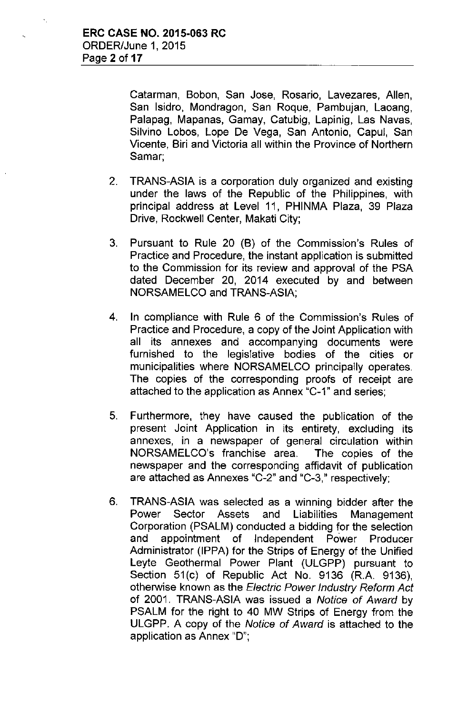Catarman, Sobon, San Jose, Rosario, Lavezares, Allen, San Isidro, Mondragon, San Roque, Pambujan, Laoang, Palapag, Mapanas, Gamay, Catubig, Lapinig, Las Navas, Silvino Lobos, Lope De Vega, San Antonio, Capul, San Vicente, Siri and Victoria all within the Province of Northern Samar;

- 2. TRANS-ASIA is a corporation duly organized and existing under the laws of the Republic of the Philippines, with principal address at Level 11, PHINMA Plaza, 39 Plaza Drive, Rockwell Center, Makati City;
- 3. Pursuant to Rule 20 (S) of the Commission's Rules of Practice and Procedure, the instant application is submitted to the Commission for its review and approval of the PSA dated December 20, 2014 executed by and between NORSAMELCO and TRANS-ASIA;
- 4. In compliance with Rule 6 of the Commission's Rules of Practice and Procedure, a copy of the Joint Application with all its annexes and accompanying documents were furnished to the legislative bodies of the cities or municipalities where NORSAMELCO principally operates. The copies of the corresponding proofs of receipt are attached to the application as Annex "C-1" and series;
- 5. Furthermore, they have caused the publication of the present Joint Application in its entirety, excluding its annexes, in a newspaper of general circulation within NORSAMELCO's franchise area. The copies of the newspaper and the corresponding affidavit of publication are attached as Annexes "C-2" and "C-3," respectively;
- 6. TRANS-ASIA was selected as a winning bidder after the Power Sector Assets and Liabilities Management Corporation (PSALM) conducted a bidding for the selection and appointment of Independent Power Producer Administrator (IPPA) for the Strips of Energy of the Unified Leyte Geothermal Power Plant (ULGPP) pursuant to Section 51(c) of Republic Act No. 9136 (R.A. 9136), otherwise known as the *Electric Power Industry Reform Act* of 2001. TRANS-ASIA was issued a *Notice of Award* by PSALM for the right to 40 MW Strips of Energy from the ULGPP. A copy of the *Notice of Award* is attached to the application as Annex "0";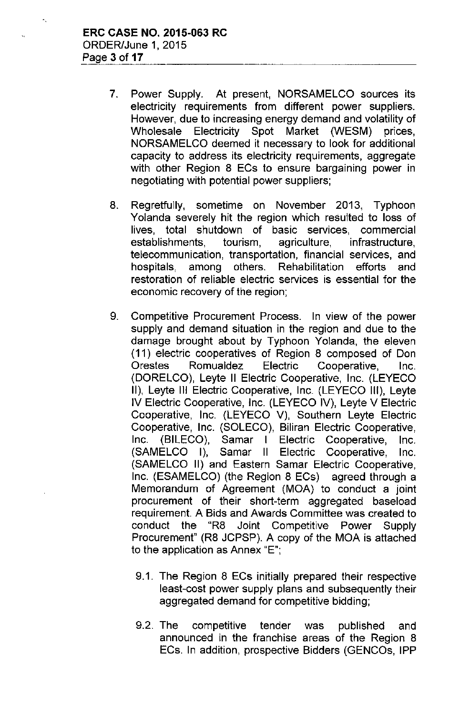- 7. Power Supply. At present, NORSAMELCO sources its electricity requirements from different power suppliers. However, due to increasing energy demand and volatility of Wholesale Electricity Spot Market (WESM) prices, NORSAMELCO deemed it necessary to look for additional capacity to address its electricity requirements, aggregate with other Region 8 ECs to ensure bargaining power in negotiating with potential power suppliers;
- 8. Regretfully, sometime on November 2013, Typhoon Yolanda severely hit the region which resulted to loss of lives, total shutdown of basic services, commercial establishments, tourism, agriculture, infrastructure, telecommunication, transportation, financial services, and hospitals, among others. Rehabilitation efforts and restoration of reliable electric services is essential for the economic recovery of the region;
- 9. Competitive Procurement Process. In view of the power supply and demand situation in the region and due to the damage brought about by Typhoon Yolanda, the eleven **(11)** electric cooperatives of Region 8 composed of Don Orestes Romualdez Electric Cooperative, Inc. (DORELCO), Leyte II Electric Cooperative, Inc. (LEYECO II), Leyte III Electric Cooperative, Inc. (LEYECO III), Leyte IV Electric Cooperative, Inc. (LEYECO IV), Leyte V Electric Cooperative, Inc. (LEYECO V), Southern Leyte Electric Cooperative, Inc. (SOLECO), Biliran Electric Cooperative, Inc. (BILECO), Samar I Electric Cooperative, Inc. (SAMELCO I), Samar II Electric Cooperative, Inc. (SAMELCO II) and Eastern Samar Electric Cooperative, Inc. (ESAMELCO) (the Region 8 ECs) agreed through a Memorandum of Agreement (MOA) to conduct a joint procurement of their short-term aggregated baseload requirement. A Bids and Awards Committee was created to conduct the "R8 Joint Competitive Power Supply Procurement" (R8 JCPSP). A copy of the MOA is attached to the application as Annex "E";
	- 9.1. The Region 8 ECs initially prepared their respective least-cost power supply plans and subsequently their aggregated demand for competitive bidding;
	- 9.2. The competitive tender was published and announced in the franchise areas of the Region 8 ECs. In addition, prospective Bidders (GENCOs, IPP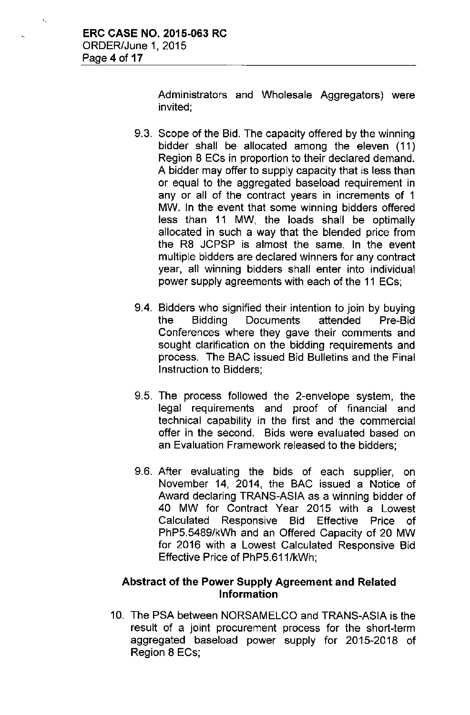Administrators and Wholesale Aggregators) were invited;

- 9.3. Scope of the Bid. The capacity offered by the winning bidder shall be allocated among the eleven (11) Region 8 ECs in proportion to their declared demand. A bidder may offer to supply capacity that is less than or equal to the aggregated baseload requirement in any or all of the contract years in increments of 1 MW. In the event that some winning bidders offered less than 11 MW, the loads shall be optimally allocated in such a way that the blended price from the R8 JCPSP is almost the same. In the event multiple bidders are declared winners for any contract year, all winning bidders shall enter into individual power supply agreements with each of the 11 ECs;
- 9.4. Bidders who signified their intention to join by buying the Bidding Documents attended Pre-Bid Conferences where they gave their comments and sought clarification on the bidding requirements and process. The BAC issued Bid Bulletins and the Final Instruction to Bidders;
- 9.5. The process followed the 2-envelope system, the legal requirements and proof of financial and technical capability in the first and the commercial offer in the second. Bids were evaluated based on an Evaluation Framework released to the bidders;
- 9.6. After evaluating the bids of each supplier, on November 14, 2014, the BAC issued a Notice of Award declaring TRANS-ASIA as a winning bidder of 40 MW for Contract Year 2015 with a Lowest Calculated Responsive Bid Effective Price of PhP5.5489/kWh and an Offered Capacity of 20 MW for 2016 with a Lowest Calculated Responsive Bid Effective Price of PhP5.611/kWh;

# **Abstract of the** Power **Supply** Agreement and **Related** Information

10. The PSA between NORSAMELCO and TRANS-ASIA is the result of a joint procurement process for the short-term aggregated baseload power supply for 2015-2018 of Region 8 ECs;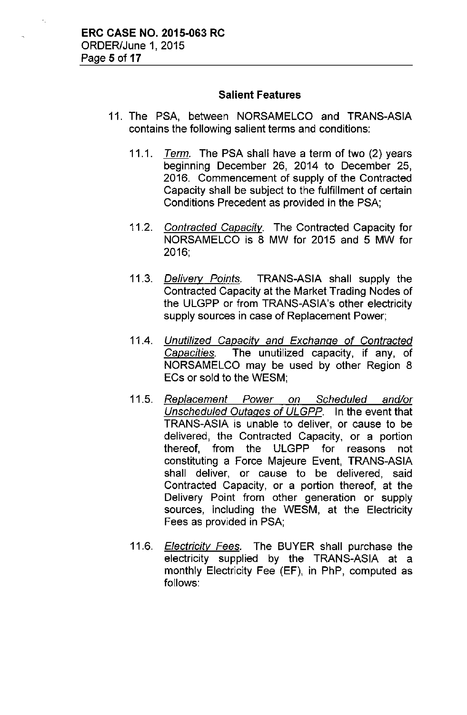# **Salient** Features

- 11. The PSA, between NORSAMELCO and TRANS-ASIA contains the following salient terms and conditions:
	- *11.1. Term.* The PSA shall have a term of two (2) years beginning December 26, 2014 to December 25, 2016. Commencement of supply of the Contracted Capacity shall be subject to the fulfillment of certain Conditions Precedent as provided in the PSA;
	- *11.2. Contracted Capacitv.* The Contracted Capacity for NORSAMELCO is 8 MW for 2015 and 5 MW for 2016;
	- *11.3. Delivery Points.* TRANS-ASIA shall supply the Contracted Capacity at the Market Trading Nodes of the ULGPP or from TRANS-ASIA's other electricity supply sources in case of Replacement Power;
	- 11.4. *Unutilized Capacity and Exchange of Contracted Capacities.* The unutilized capacity, if any, of NORSAMELCO may be used by other Region 8 ECs or sold to the WESM;
	- *11.5. Replacement Power on Scheduled and/or Unscheduled Outages of ULGPP.* In the event that TRANS-ASIA is unable to deliver, or cause to be delivered, the Contracted Capacity, or a portion thereof, from the ULGPP for reasons not constituting a Force Majeure Event, TRANS-ASIA shall deliver, or cause to be delivered, said Contracted Capacity, or a portion thereof, at the Delivery Point from other generation or supply sources, including the WESM, at the Electricity Fees as provided in PSA;
	- *11.6. Electricity* Fees. The BUYER shall purchase the electricity supplied by the TRANS-ASIA at a monthly Electricity Fee (EF), in PhP, computed as follows: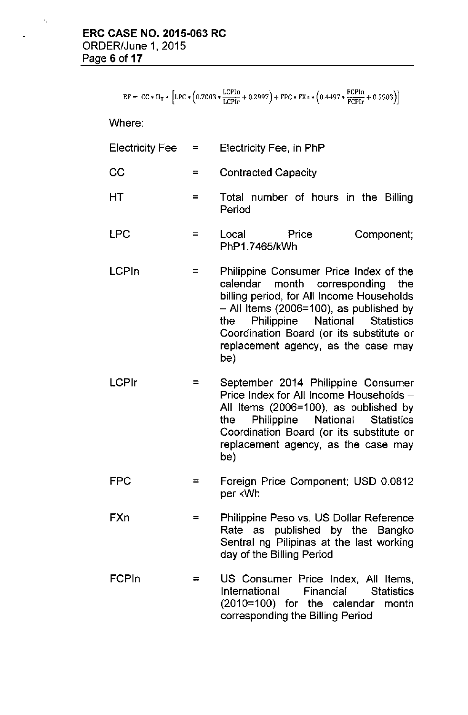$EF = CC * H_T * \left[ LPC * (0.7003 * \frac{LCPIn}{LCPIr} + 0.2997) + FPC * FXn * (0.4497 * \frac{FCPIn}{FCPIr} + 0.5503) \right]$ 

Where:

| <b>Electricity Fee</b> |  | Electricity Fee, in PhP |
|------------------------|--|-------------------------|
|------------------------|--|-------------------------|

- $CC =$  Contracted Capacity
- $HT = Total number of hours in the Billing$ Period
- LPC = Local Price Component; PhP1.7465/kWh
- LCPln = Philippine Consumer Price Index of the calendar month corresponding the billing period, for All Income Households - All Items (2006=100), as published by the Philippine National Statistics Coordination Board (or its substitute or replacement agency, as the case may be)
- LCPlr = September 2014 Philippine Consumer Price Index for All Income Households -All Items (2006=100), as published by the Philippine National Statistics Coordination Board (or its substitute or replacement agency, as the case may be)
	- FPC = Foreign Price Component; USD 0.0812 per kWh
	- FXn = Philippine Peso vs. US Dollar Reference Rate as published by the Bangko Sentral ng Pilipinas at the last working day of the Billing Period
	- FCPln = US Consumer Price Index, All Items, International Financial Statistics (2010=100) for the calendar month corresponding the Billing Period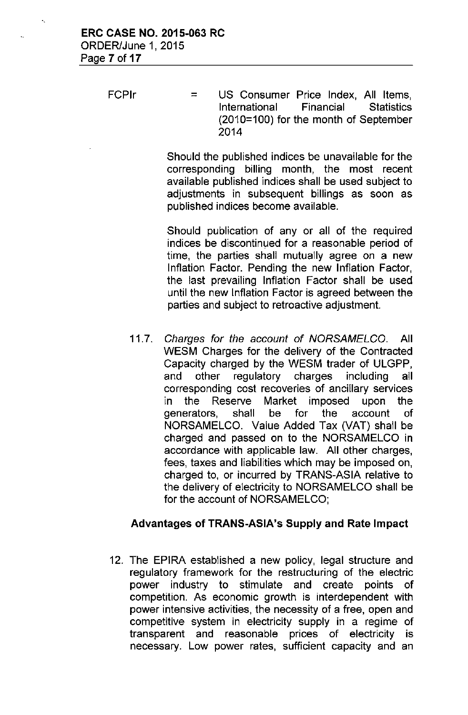FCPIr = US Consumer Price Index, All Items,<br>International Financial Statistics International (2010=100) for the month of September 2014

> Should the published indices be unavailable for the corresponding billing month, the most recent available published indices shall be used subject to adjustments in subsequent billings as soon as published indices become available.

> Should publication of any or all of the required indices be discontinued for a reasonable period of time, the parties shall mutually agree on a new Inflation Factor. Pending the new Inflation Factor, the last prevailing Inflation Factor shall be used until the new Inflation Factor is agreed between the parties and subject to retroactive adjustment.

*11.7. Charges for the account* of *NORSAMELCO.* **All** WESM Charges for the delivery of the Contracted Capacity charged by the WESM trader of ULGPP, and other regulatory charges including all corresponding cost recoveries of ancillary services in the Reserve Market imposed upon the generators, shall be for the account of NORSAMELCO. Value Added Tax (VAT) shall be charged and passed on to the NORSAMELCO in accordance with applicable law. All other charges, fees, taxes and liabilities which may be imposed on, charged to, or incurred by TRANS-ASIA relative to the delivery of electricity to NORSAMELCO shall be for the account of NORSAMELCO;

# Advantages **of TRANS-ASIA's Supply** and **Rate Impact**

12. The EPIRA established a new policy, legal structure and regulatory framework for the restructuring of the electric power industry to stimulate and create points of competition. As economic growth is interdependent with power intensive activities, the necessity of a free, open and competitive system in electricity supply in a regime of transparent and reasonable prices of electricity is necessary. Low power rates, sufficient capacity and an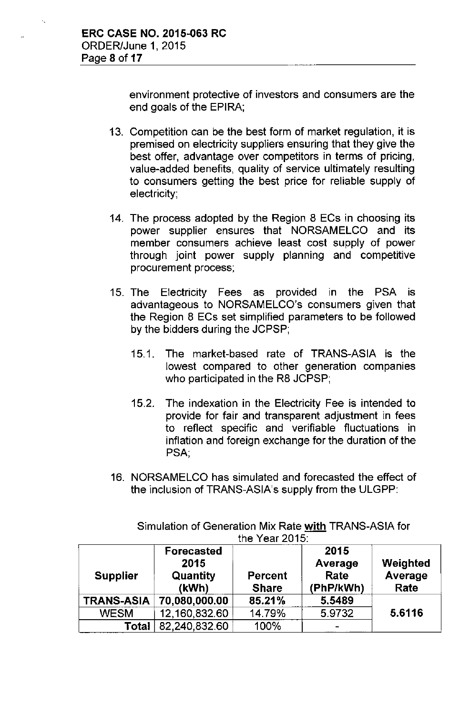environment protective of investors and consumers are the end goals of the EPIRA;

- 13. Competition can be the best form of market regulation, it is premised on electricity suppliers ensuring that they give the best offer, advantage over competitors in terms of pricing, value-added benefits, quality of service ultimately resulting to consumers getting the best price for reliable supply of electricity;
- 14. The process adopted by the Region 8 ECs in choosing its power supplier ensures that NORSAMELCO and its member consumers achieve least cost supply of power through joint power supply planning and competitive procurement process;
- 15. The Electricity Fees as provided in the PSA is advantageous to NORSAMELCO's consumers given that the Region 8 ECs set simplified parameters to be followed by the bidders during the JCPSP;
	- 15.1. The market-based rate of TRANS-ASIA is the iowest compared to other generation companies who participated in the R8 JCPSP;
	- 15.2. The indexation in the Electricity Fee is intended to provide for fair and transparent adjustment in fees to reflect specific and verifiable fluctuations in inflation and foreign exchange for the duration of the PSA;
- 16. NORSAMELCO has simulated and forecasted the effect of the inclusion of TRANS-ASIA's supply from the ULGPP:

| the Year $2015$ : |                                                |                                |                                      |                             |  |
|-------------------|------------------------------------------------|--------------------------------|--------------------------------------|-----------------------------|--|
| <b>Supplier</b>   | <b>Forecasted</b><br>2015<br>Quantity<br>(kWh) | <b>Percent</b><br><b>Share</b> | 2015<br>Average<br>Rate<br>(PhP/kWh) | Weighted<br>Average<br>Rate |  |
| <b>TRANS-ASIA</b> | 70,080,000.00                                  | 85.21%                         | 5.5489                               |                             |  |
| <b>WESM</b>       | 12,160,832.60                                  | 14.79%                         | 5.9732                               | 5.6116                      |  |
| Total             | 82,240,832.60                                  | 100%                           |                                      |                             |  |

Simulation of Generation Mix Rate with TRANS-ASIA for the Year 2015: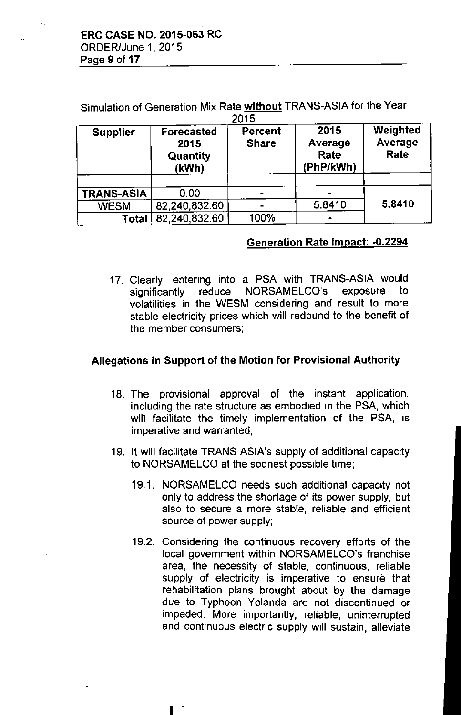Simulation of Generation Mix Rate without TRANS-ASIA for the Year  $2015$ 

| <b>Supplier</b>   | <b>Forecasted</b><br>2015<br><b>Quantity</b><br>(kWh) | Percent<br><b>Share</b> | 2015<br>Average<br>Rate<br>(PhP/kWh) | Weighted<br>Average<br>Rate |
|-------------------|-------------------------------------------------------|-------------------------|--------------------------------------|-----------------------------|
| <b>TRANS-ASIA</b> | 0.00                                                  |                         |                                      |                             |
| <b>WESM</b>       | 82,240,832.60                                         |                         | 5.8410                               | 5.8410                      |
| Total             | 82,240,832.60                                         | 100%                    |                                      |                             |

## Generation Rate Impact: -0.2294

17. Clearly, entering into a PSA with TRANS-ASIA would significantly reduce NORSAMELCO's exposure to volatilities in the WESM considering and result to more stable electricity prices which will redound to the benefit of the member consumers;

# Allegations in Support of the Motion for Provisional Authority

- 18. The provisional approval of the instant application, including the rate structure as embodied in the PSA, which will facilitate the timely implementation of the PSA, is imperative and warranted;
- 19. It will facilitate TRANS ASIA's supply of additional capacity to NORSAMELCO at the soonest possible time;
	- 19.1. NORSAMELCO needs such additional capacity not only to address the shortage of its power supply, but also to secure a more stable. reliable and efficient source of power supply;
	- 19.2. Considering the continuous recovery efforts of the local government within NORSAMELCO's franchise area, the necessity of stable, continuous, reliable supply of electricity is imperative to ensure that rehabilitation plans brought about by the damage due to Typhoon Yolanda are not discontinued or impeded. More importantly, reliable, uninterrupted and continuous electric supply will sustain, alleviate

I 1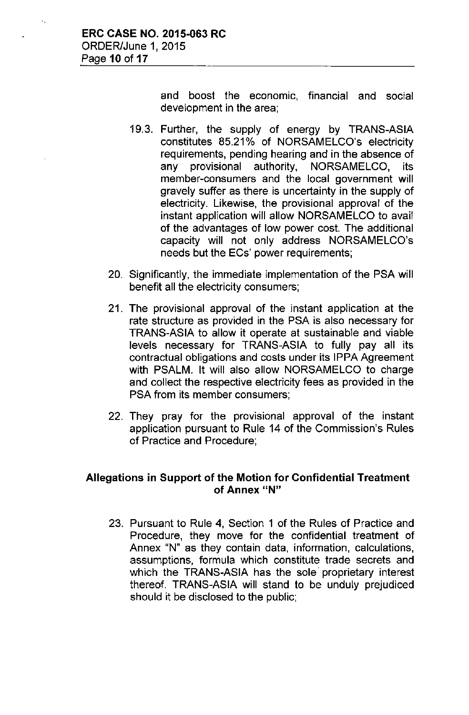and boost the economic, financial and social development in the area;

- 19.3. Further, the supply of energy by TRANS-ASIA constitutes 85.21% of NORSAMELCO's electricity requirements, pending hearing and in the absence of any provisional authority, NORSAMELCO, its member-consumers and the local government will gravely suffer as there is uncertainty in the supply of electricity. Likewise, the provisional approval of the instant application will allow NORSAMELCO to avail of the advantages of low power cost. The additional capacity will not only address NORSAMELCO's needs but the ECs' power requirements;
- 20. Significantly, the immediate implementation of the PSA will benefit all the electricity consumers;
- 21. The provisional approval of the instant application at the rate structure as provided in the PSA is also necessary for TRANS-ASIA to allow it operate at sustainable and viable levels necessary for TRANS-ASIA to fully pay all its contractual obligations and costs under its IPPA Agreement with PSALM. It will also allow NORSAMELCO to charge and collect the respective electricity fees as provided in the PSA from its member consumers;
- 22. They pray for the provisional approval of the instant application pursuant to Rule 14 of the Commission's Rules of Practice and Procedure;

#### Allegations in Support of the Motion for Confidential Treatment **of** Annex "N"

23. Pursuant to Rule 4, Section 1 of the Rules of Practice and Procedure, they move for the confidential treatment of Annex "N" as they contain data, information, calculations, assumptions, formula which constitute trade secrets and which the TRANS-ASIA has the sole proprietary interest thereof. TRANS-ASIA will stand to be unduly prejudiced should it be disclosed to the public;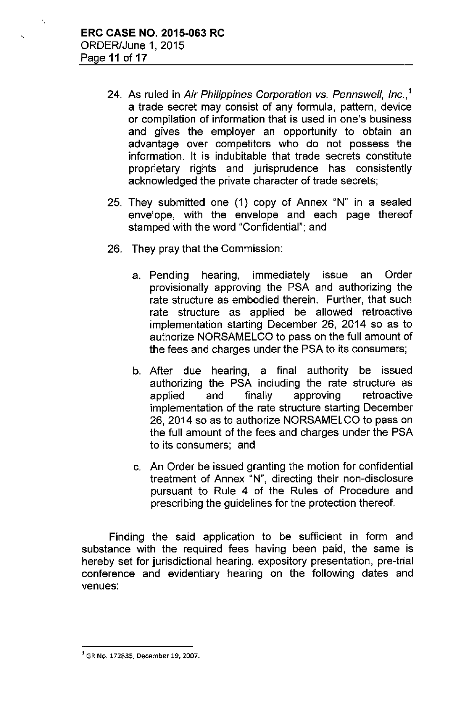- 24. As ruled in *Air Philippines Corporation* vs. *Pennswell, Inc.,'* a trade secret may consist of any formula, pattern, device or compilation of information that is used in one's business and gives the employer an opportunity to obtain an advantage over competitors who do not possess the information. It is indubitable that trade secrets constitute proprietary rights and jurisprudence has consistently acknowledged the private character of trade secrets;
- 25. They submitted one (1) copy of Annex "N" in a sealed envelope, with the envelope and each page thereof stamped with the word "Confidential"; and
- 26. They pray that the Commission:
	- a. Pending hearing, immediately issue an Order provisionally approving the PSA and authorizing the rate structure as embodied therein. Further, that such rate structure as applied be allowed retroactive implementation starting December 26, 2014 so as to authorize NORSAMELCO to pass on the full amount of the fees and charges under the PSA to its consumers;
	- b. After due hearing, a final authority be issued authorizing the PSA including the rate structure as applied and finally approving retroactive implementation of the rate structure starting December 26,2014 so as to authorize NORSAMELCO to pass on the full amount of the fees and charges under the PSA to its consumers; and
	- c. An Order be issued granting the motion for confidential treatment of Annex "N", directing their non-disclosure pursuant to Rule 4 of the Rules of Procedure and prescribing the guidelines for the protection thereof.

Finding the said application to be sufficient in form and substance with the required fees having been paid, the same is hereby set for jurisdictional hearing, expository presentation, pre-trial conference and evidentiary hearing on the following dates and venues:

<sup>1</sup>**GR No. 172835, December 19, 2007.**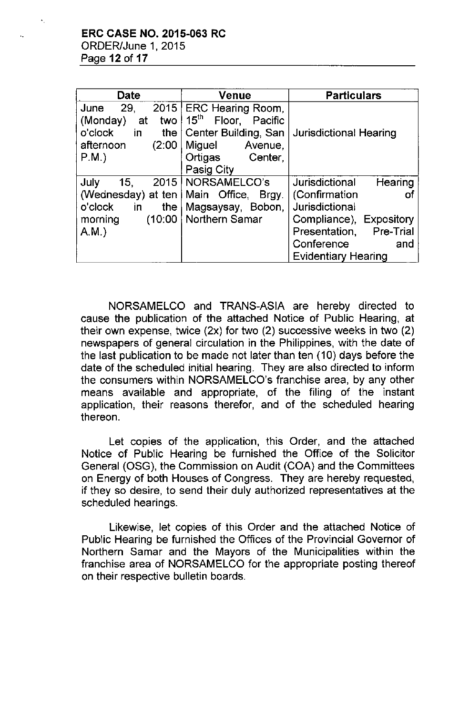| <b>Date</b>                       | <b>Venue</b>                       | <b>Particulars</b>                |  |
|-----------------------------------|------------------------------------|-----------------------------------|--|
| 2015<br>29,<br>June               | <b>ERC Hearing Room,</b>           |                                   |  |
| (Monday)<br>two  <br>at           | 15 <sup>th</sup><br>Floor, Pacific |                                   |  |
| o'clock<br>in<br>the              | Center Building, San               | <b>Jurisdictional Hearing</b>     |  |
| (2:00)<br>afternoon               | Miguel<br>Avenue,                  |                                   |  |
| $P.M.$ )                          | Center,<br>Ortigas                 |                                   |  |
|                                   | Pasig City                         |                                   |  |
| 15.<br>2015<br>July               | NORSAMELCO's                       | Jurisdictional<br>Hearing         |  |
| (Wednesday) at ten   Main Office, | Brgy.                              | (Confirmation<br>ОŤ               |  |
| o'clock<br>in<br>the              | Magsaysay, Bobon,                  | Jurisdictional                    |  |
| (10:00)<br>morning                | Northern Samar                     | Compliance), Expository           |  |
| A.M.                              |                                    | <b>Pre-Trial</b><br>Presentation, |  |
|                                   |                                    | Conference<br>and                 |  |
|                                   |                                    | <b>Evidentiary Hearing</b>        |  |

NORSAMELCO and TRANS-ASIA are hereby directed to cause the publication of the attached Notice of Public Hearing, at their own expense, twice (2x) for two (2) successive weeks in two (2) newspapers of general circulation in the Philippines, with the date of the last publication to be rnade not later than ten (10) days before the date of the scheduled initial hearing. They are also directed to inform the consumers within NORSAMELCO's franchise area, by any other means available and appropriate, of the filing of the instant application, their reasons therefor, and of the scheduled hearing thereon.

Let copies of the application, this Order, and the attached Notice of Public Hearing be furnished the Office of the Solicitor General (OSG), the Commission on Audit (COA) and the Committees on Energy of both Houses of Congress. They are hereby requested, if they so desire, to send their duly authorized representatives at the scheduled hearings.

Likewise, let copies of this Order and the attached Notice of Public Hearing be furnished the Offices of the Provincial Governor of Northern Samar and the Mayors of the Municipalities within the franchise area of NORSAMELCO for the appropriate posting thereof on their respective bulletin boards.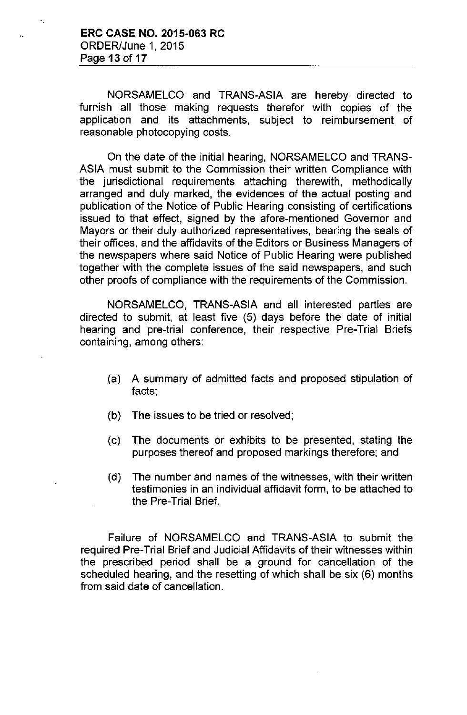NORSAMELCO and TRANS-ASIA are hereby directed to furnish all those making requests therefor with copies of the application and its attachments, subject to reimbursement of reasonable photocopying costs.

On the date of the initial hearing, NORSAMELCO and TRANS-ASIA must submit to the Commission their written Compliance with the jurisdictional requirements attaching therewith, methodically arranged and duly marked, the evidences of the actual posting and publication of the Notice of Public Hearing consisting of certifications issued to that effect, signed by the afore-mentioned Governor and Mayors or their duly authorized representatives, bearing the seals of their offices, and the affidavits of the Editors or Business Managers of the newspapers where said Notice of Public Hearing were published together with the complete issues of the said newspapers, and such other proofs of compliance with the requirements of the Commission.

NORSAMELCO, TRANS-ASIA and all interested parties are directed to submit, at least five (5) days before the date of initial hearing and pre-trial conference, their respective Pre-Trial Briefs containing, among others:

- (a) A summary of admitted facts and proposed stipulation of facts;
- (b) The issues to be tried or resolved;
- (c) The documents or exhibits to be presented, stating the purposes thereof and proposed markings therefore; and
- (d) The number and names of the witnesses, with their written testimonies in an individual affidavit form, to be attached to the Pre-Trial Brief.

Failure of NORSAMELCO and TRANS-ASIA to submit the required Pre-Trial Brief and Judicial Affidavits of their witnesses within the prescribed period shall be a ground for cancellation of the scheduled hearing, and the resetting of which shall be six (6) months from said date of cancellation.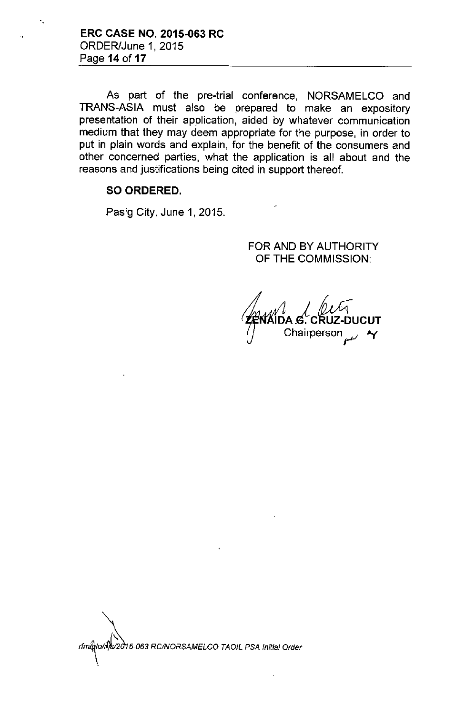**ERC CASE NO. 2015.063 RC** ORDER/June 1, 2015 Page **14 of 17**

'.

As part of the pre-trial conference, NORSAMELCO and TRANS-ASIA must also be prepared to make an expository presentation of their application, aided by whatever communication medium that they may deem appropriate for the purpose, in order to put in plain words and explain, for the benefit of the consumers and other concerned parties, what the application is all about and the reasons and justifications being cited in support thereof.

#### SO ORDERED.

Pasig City, June 1, 2015.

FOR AND BY AUTHORITY OF **THE** COMMISSION:

. CRUZ-DUCUT **Chairperson** 

*rfmJ«,lo/A5-063 RCINORSAMELCO TAOIL PSA Initial Order* \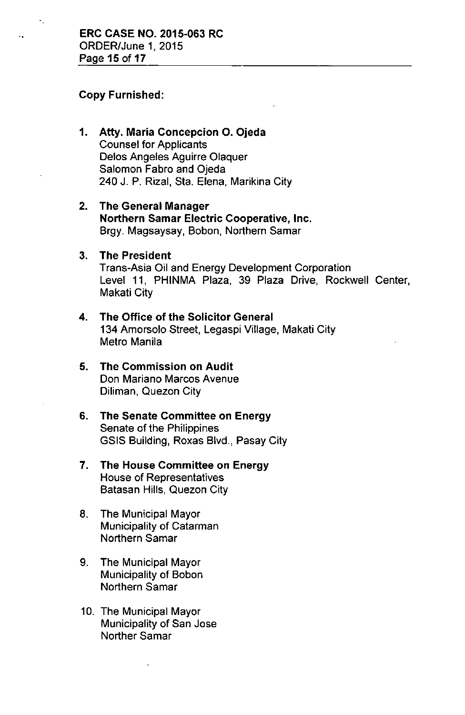#### Copy Furnished:

- 1. Atty. Maria Concepcion O. Ojeda Counsel for Applicants Delos Angeles Aguirre Olaquer Salomon Fabro and Ojeda 240 J. P. Rizal, Sta. Elena, Marikina City
- 2. The General Manager Northern Samar Electric Cooperative, Inc. Brgy. Magsaysay, Bobon, Northern Samar
- 3. The President Trans-Asia Oil and Energy Development Corporation Level 11, PHINMA Plaza, 39 Plaza Drive, Rockwell Center, Makati City
- 4. The Office of the Solicitor General 134 Amorsolo Street, Legaspi Village, Makati City Metro Manila
- 5. The Commission on Audit Don Mariano Marcos Avenue Diliman, Quezon City
- 6. The Senate Committee on Energy Senate of the Philippines GSIS Building, Roxas Blvd., Pasay City
- 7. The House Committee on Energy House of Representatives Batasan Hills, Quezon City
- 8. The Municipal Mayor Municipality of Catarman Northern Samar
- 9. The Municipal Mayor Municipality of Bobon Northern Samar
- 10. The Municipal Mayor Municipality of San Jose Norther Samar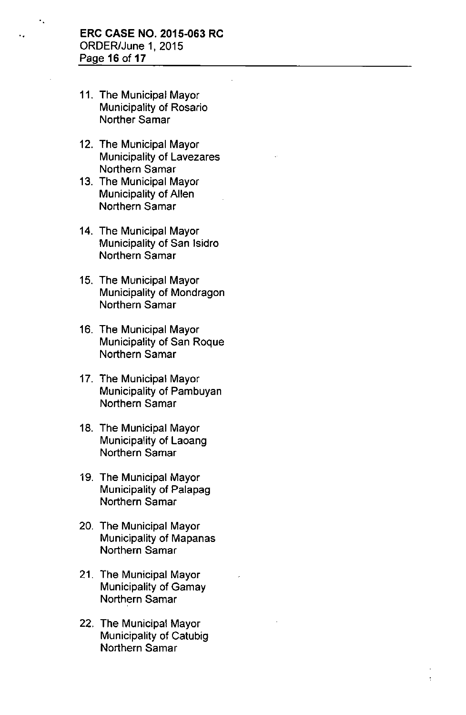- 11. The Municipal Mayor Municipality of Rosario Norther Samar
- 12. The Municipal Mayor Municipality of Lavezares Northern Samar
- 13. The Municipal Mayor Municipality of Allen Northern Samar
- 14. The Municipal Mayor Municipality of San Isidro Northern Samar
- 15. The Municipal Mayor Municipality of Mondragon Northern Samar
- 16. The Municipal Mayor Municipality of San Roque Northern Samar
- 17. The Municipal Mayor Municipality of Pambuyan Northern Samar
- 18. The Municipal Mayor Municipality of Laoang Northern Samar
- 19. The Municipal Mayor Municipality of Palapag Northern Samar
- 20. The Municipal Mayor Municipality of Mapanas Northern Samar
- 21. The Municipal Mayor Municipality of Gamay Northern Samar
- 22. The Municipal Mayor Municipality of Catubig Northern Samar

 $\ddot{\phantom{a}}$